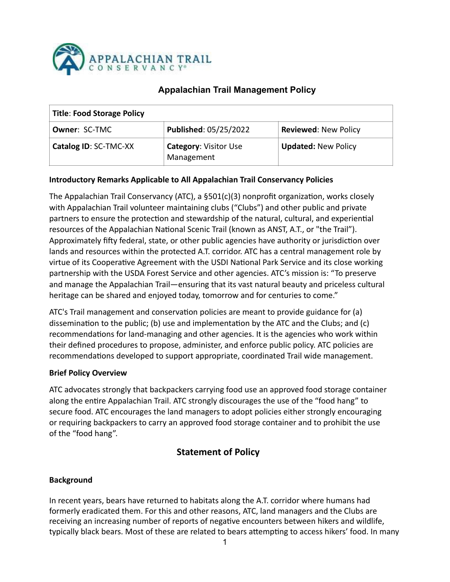

## **Appalachian Trail Management Policy**

| <b>Title: Food Storage Policy</b> |                                            |                             |  |  |  |
|-----------------------------------|--------------------------------------------|-----------------------------|--|--|--|
| <b>Owner: SC-TMC</b>              | Published: 05/25/2022                      | <b>Reviewed: New Policy</b> |  |  |  |
| Catalog ID: SC-TMC-XX             | <b>Category: Visitor Use</b><br>Management | <b>Updated: New Policy</b>  |  |  |  |

#### **Introductory Remarks Applicable to All Appalachian Trail Conservancy Policies**

The Appalachian Trail Conservancy (ATC), a  $\S 501(c)(3)$  nonprofit organization, works closely with Appalachian Trail volunteer maintaining clubs ("Clubs") and other public and private partners to ensure the protection and stewardship of the natural, cultural, and experiential resources of the Appalachian National Scenic Trail (known as ANST, A.T., or "the Trail"). Approximately fifty federal, state, or other public agencies have authority or jurisdiction over lands and resources within the protected A.T. corridor. ATC has a central management role by virtue of its Cooperative Agreement with the USDI National Park Service and its close working partnership with the USDA Forest Service and other agencies. ATC's mission is: "To preserve and manage the Appalachian Trail—ensuring that its vast natural beauty and priceless cultural heritage can be shared and enjoyed today, tomorrow and for centuries to come."

ATC's Trail management and conservation policies are meant to provide guidance for (a) dissemination to the public; (b) use and implementation by the ATC and the Clubs; and (c) recommendations for land-managing and other agencies. It is the agencies who work within their defined procedures to propose, administer, and enforce public policy. ATC policies are recommendations developed to support appropriate, coordinated Trail wide management.

#### **Brief Policy Overview**

ATC advocates strongly that backpackers carrying food use an approved food storage container along the entire Appalachian Trail. ATC strongly discourages the use of the "food hang" to secure food. ATC encourages the land managers to adopt policies either strongly encouraging or requiring backpackers to carry an approved food storage container and to prohibit the use of the "food hang".

## **Statement of Policy**

#### **Background**

In recent years, bears have returned to habitats along the A.T. corridor where humans had formerly eradicated them. For this and other reasons, ATC, land managers and the Clubs are receiving an increasing number of reports of negative encounters between hikers and wildlife, typically black bears. Most of these are related to bears attempting to access hikers' food. In many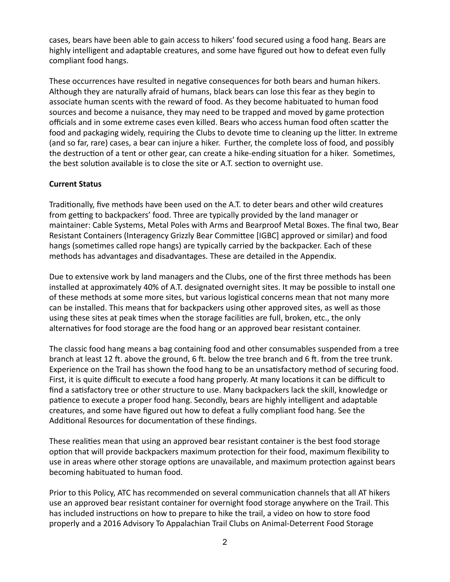cases, bears have been able to gain access to hikers' food secured using a food hang. Bears are highly intelligent and adaptable creatures, and some have figured out how to defeat even fully compliant food hangs.

These occurrences have resulted in negative consequences for both bears and human hikers. Although they are naturally afraid of humans, black bears can lose this fear as they begin to associate human scents with the reward of food. As they become habituated to human food sources and become a nuisance, they may need to be trapped and moved by game protection officials and in some extreme cases even killed. Bears who access human food often scatter the food and packaging widely, requiring the Clubs to devote time to cleaning up the litter. In extreme (and so far, rare) cases, a bear can injure a hiker. Further, the complete loss of food, and possibly the destruction of a tent or other gear, can create a hike-ending situation for a hiker. Sometimes, the best solution available is to close the site or A.T. section to overnight use.

#### **Current Status**

Traditionally, five methods have been used on the A.T. to deter bears and other wild creatures from getting to backpackers' food. Three are typically provided by the land manager or maintainer: Cable Systems, Metal Poles with Arms and Bearproof Metal Boxes. The final two, Bear Resistant Containers (Interagency Grizzly Bear Committee [IGBC] approved or similar) and food hangs (sometimes called rope hangs) are typically carried by the backpacker. Each of these methods has advantages and disadvantages. These are detailed in the Appendix.

Due to extensive work by land managers and the Clubs, one of the first three methods has been installed at approximately 40% of A.T. designated overnight sites. It may be possible to install one of these methods at some more sites, but various logistical concerns mean that not many more can be installed. This means that for backpackers using other approved sites, as well as those using these sites at peak times when the storage facilities are full, broken, etc., the only alternatives for food storage are the food hang or an approved bear resistant container.

The classic food hang means a bag containing food and other consumables suspended from a tree branch at least 12 ft. above the ground, 6 ft. below the tree branch and 6 ft. from the tree trunk. Experience on the Trail has shown the food hang to be an unsatisfactory method of securing food. First, it is quite difficult to execute a food hang properly. At many locations it can be difficult to find a satisfactory tree or other structure to use. Many backpackers lack the skill, knowledge or patience to execute a proper food hang. Secondly, bears are highly intelligent and adaptable creatures, and some have figured out how to defeat a fully compliant food hang. See the Additional Resources for documentation of these findings.

These realities mean that using an approved bear resistant container is the best food storage option that will provide backpackers maximum protection for their food, maximum flexibility to use in areas where other storage options are unavailable, and maximum protection against bears becoming habituated to human food.

Prior to this Policy, ATC has recommended on several communication channels that all AT hikers use an approved bear resistant container for overnight food storage anywhere on the Trail. This has included instructions on how to prepare to hike the trail, a video on how to store food properly and a 2016 Advisory To Appalachian Trail Clubs on Animal-Deterrent Food Storage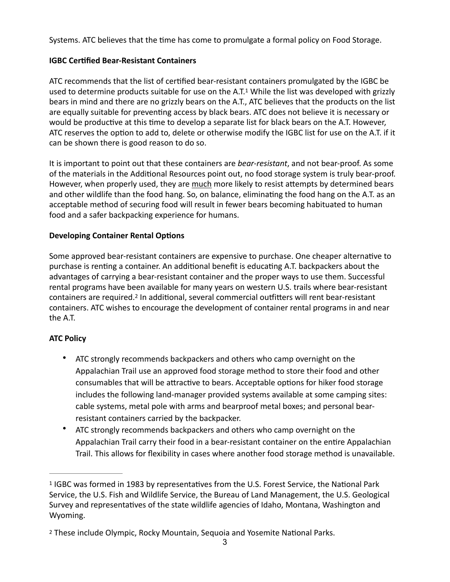Systems. ATC believes that the time has come to promulgate a formal policy on Food Storage.

## **IGBC Certified Bear-Resistant Containers**

<span id="page-2-2"></span>ATC recommends that the list of certified bear-resistant containers promulgated by the IGBC be used to determine products suitable for use on the A.T.<sup>[1](#page-2-0)</sup> While the list was developed with grizzly bears in mind and there are no grizzly bears on the A.T., ATC believes that the products on the list are equally suitable for preventing access by black bears. ATC does not believe it is necessary or would be productive at this time to develop a separate list for black bears on the A.T. However, ATC reserves the option to add to, delete or otherwise modify the IGBC list for use on the A.T. if it can be shown there is good reason to do so.

It is important to point out that these containers are *bear-resistant*, and not bear-proof. As some of the materials in the Additional Resources point out, no food storage system is truly bear-proof. However, when properly used, they are much more likely to resist attempts by determined bears and other wildlife than the food hang. So, on balance, eliminating the food hang on the A.T. as an acceptable method of securing food will result in fewer bears becoming habituated to human food and a safer backpacking experience for humans.

## **Developing Container Rental Options**

Some approved bear-resistant containers are expensive to purchase. One cheaper alternative to purchase is renting a container. An additional benefit is educating A.T. backpackers about the advantages of carrying a bear-resistant container and the proper ways to use them. Successful rental programs have been available for many years on western U.S. trails where bear-resistant containers are required.<sup>[2](#page-2-1)</sup> In additional, several commercial outfitters will rent bear-resistant containers. ATC wishes to encourage the development of container rental programs in and near the A.T.

## **ATC Policy**

- <span id="page-2-3"></span>• ATC strongly recommends backpackers and others who camp overnight on the Appalachian Trail use an approved food storage method to store their food and other consumables that will be attractive to bears. Acceptable options for hiker food storage includes the following land-manager provided systems available at some camping sites: cable systems, metal pole with arms and bearproof metal boxes; and personal bearresistant containers carried by the backpacker.
- ATC strongly recommends backpackers and others who camp overnight on the Appalachian Trail carry their food in a bear-resistant container on the entire Appalachian Trail. This allows for flexibility in cases where another food storage method is unavailable.

<span id="page-2-0"></span><sup>&</sup>lt;sup>[1](#page-2-2)</sup> IGBC was formed in 1983 by representatives from the U.S. Forest Service, the National Park Service, the U.S. Fish and Wildlife Service, the Bureau of Land Management, the U.S. Geological Survey and representatives of the state wildlife agencies of Idaho, Montana, Washington and Wyoming. 

<span id="page-2-1"></span><sup>&</sup>lt;sup>[2](#page-2-3)</sup> These include Olympic, Rocky Mountain, Sequoia and Yosemite National Parks.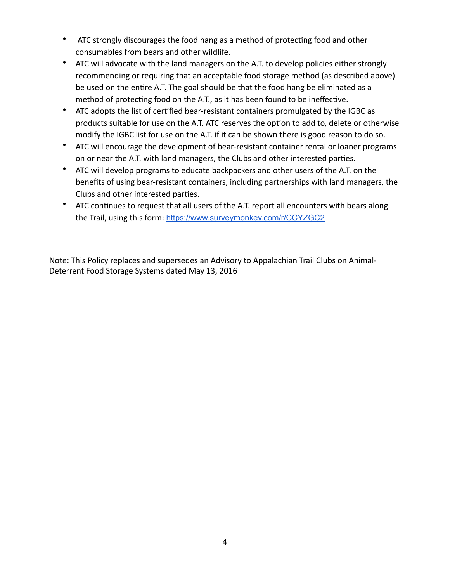- ATC strongly discourages the food hang as a method of protecting food and other consumables from bears and other wildlife.
- ATC will advocate with the land managers on the A.T. to develop policies either strongly recommending or requiring that an acceptable food storage method (as described above) be used on the entire A.T. The goal should be that the food hang be eliminated as a method of protecting food on the A.T., as it has been found to be ineffective.
- ATC adopts the list of certified bear-resistant containers promulgated by the IGBC as products suitable for use on the A.T. ATC reserves the option to add to, delete or otherwise modify the IGBC list for use on the A.T. if it can be shown there is good reason to do so.
- ATC will encourage the development of bear-resistant container rental or loaner programs on or near the A.T. with land managers, the Clubs and other interested parties.
- ATC will develop programs to educate backpackers and other users of the A.T. on the benefits of using bear-resistant containers, including partnerships with land managers, the Clubs and other interested parties.
- ATC continues to request that all users of the A.T. report all encounters with bears along the Trail, using this form: <https://www.surveymonkey.com/r/CCYZGC2>

Note: This Policy replaces and supersedes an Advisory to Appalachian Trail Clubs on Animal-Deterrent Food Storage Systems dated May 13, 2016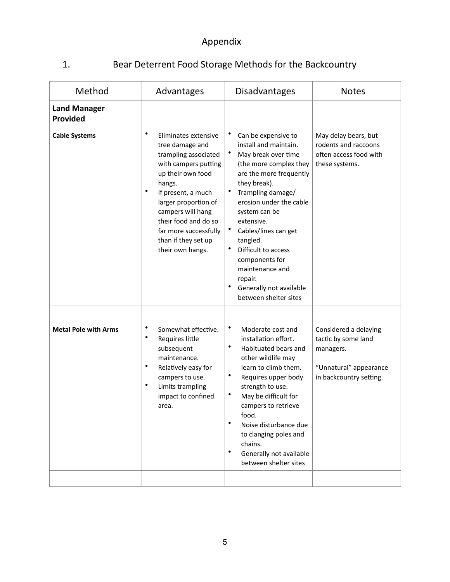# Appendix

1. Bear Deterrent Food Storage Methods for the Backcountry

| Method                          | Advantages                                                                                                                                                                                                                                                                                                      | <b>Disadvantages</b>                                                                                                                                                                                                                                                                                                                                                                                                                         | <b>Notes</b>                                                                                                   |
|---------------------------------|-----------------------------------------------------------------------------------------------------------------------------------------------------------------------------------------------------------------------------------------------------------------------------------------------------------------|----------------------------------------------------------------------------------------------------------------------------------------------------------------------------------------------------------------------------------------------------------------------------------------------------------------------------------------------------------------------------------------------------------------------------------------------|----------------------------------------------------------------------------------------------------------------|
| <b>Land Manager</b><br>Provided |                                                                                                                                                                                                                                                                                                                 |                                                                                                                                                                                                                                                                                                                                                                                                                                              |                                                                                                                |
| <b>Cable Systems</b>            | $\bullet$<br>Eliminates extensive<br>tree damage and<br>trampling associated<br>with campers putting<br>up their own food<br>hangs.<br>$\bullet$<br>If present, a much<br>larger proportion of<br>campers will hang<br>their food and do so<br>far more successfully<br>than if they set up<br>their own hangs. | ٠<br>Can be expensive to<br>install and maintain.<br>$\bullet$<br>May break over time<br>(the more complex they<br>are the more frequently<br>they break).<br>$\bullet$<br>Trampling damage/<br>erosion under the cable<br>system can be<br>extensive.<br>٠<br>Cables/lines can get<br>tangled.<br>$\bullet$<br>Difficult to access<br>components for<br>maintenance and<br>repair.<br>٠<br>Generally not available<br>between shelter sites | May delay bears, but<br>rodents and raccoons<br>often access food with<br>these systems.                       |
|                                 |                                                                                                                                                                                                                                                                                                                 |                                                                                                                                                                                                                                                                                                                                                                                                                                              |                                                                                                                |
| <b>Metal Pole with Arms</b>     | $\bullet$<br>Somewhat effective.<br>$\bullet$<br>Requires little<br>subsequent<br>maintenance.<br>$\bullet$<br>Relatively easy for<br>campers to use.<br>$\bullet$<br>Limits trampling<br>impact to confined<br>area.                                                                                           | $\bullet$<br>Moderate cost and<br>installation effort.<br>$\bullet$<br>Habituated bears and<br>other wildlife may<br>learn to climb them.<br>$\bullet$<br>Requires upper body<br>strength to use.<br>$\bullet$<br>May be difficult for<br>campers to retrieve<br>food.<br>$\bullet$<br>Noise disturbance due<br>to clanging poles and<br>chains.<br>$\bullet$<br>Generally not available<br>between shelter sites                            | Considered a delaying<br>tactic by some land<br>managers.<br>"Unnatural" appearance<br>in backcountry setting. |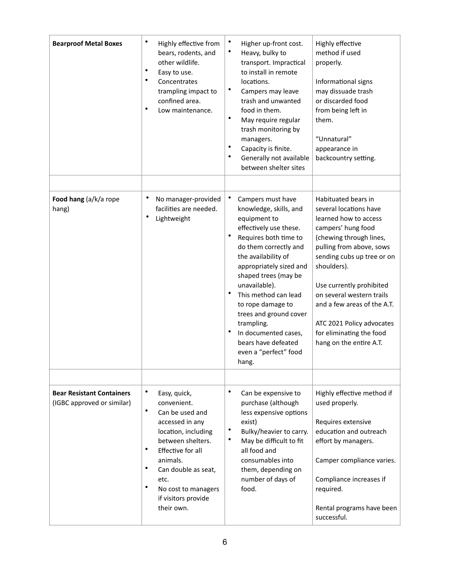| <b>Bearproof Metal Boxes</b>                                   | $\bullet$<br>Highly effective from<br>bears, rodents, and<br>other wildlife.<br>٠<br>Easy to use.<br>٠<br>Concentrates<br>trampling impact to<br>confined area.<br>٠<br>Low maintenance.                                                                                           | $\bullet$<br>Higher up-front cost.<br>$\bullet$<br>Heavy, bulky to<br>transport. Impractical<br>to install in remote<br>locations.<br>$\bullet$<br>Campers may leave<br>trash and unwanted<br>food in them.<br>$\bullet$<br>May require regular<br>trash monitoring by<br>managers.<br>$\bullet$<br>Capacity is finite.<br>$\bullet$<br>Generally not available<br>between shelter sites                                                | Highly effective<br>method if used<br>properly.<br>Informational signs<br>may dissuade trash<br>or discarded food<br>from being left in<br>them.<br>"Unnatural"<br>appearance in<br>backcountry setting.                                                                                                                                                                     |
|----------------------------------------------------------------|------------------------------------------------------------------------------------------------------------------------------------------------------------------------------------------------------------------------------------------------------------------------------------|-----------------------------------------------------------------------------------------------------------------------------------------------------------------------------------------------------------------------------------------------------------------------------------------------------------------------------------------------------------------------------------------------------------------------------------------|------------------------------------------------------------------------------------------------------------------------------------------------------------------------------------------------------------------------------------------------------------------------------------------------------------------------------------------------------------------------------|
| Food hang (a/k/a rope<br>hang)                                 | No manager-provided<br>facilities are needed.<br>$\bullet$<br>Lightweight                                                                                                                                                                                                          | ٠<br>Campers must have<br>knowledge, skills, and<br>equipment to<br>effectively use these.<br>$\bullet$<br>Requires both time to<br>do them correctly and<br>the availability of<br>appropriately sized and<br>shaped trees (may be<br>unavailable).<br>$\bullet$<br>This method can lead<br>to rope damage to<br>trees and ground cover<br>trampling.<br>In documented cases,<br>bears have defeated<br>even a "perfect" food<br>hang. | Habituated bears in<br>several locations have<br>learned how to access<br>campers' hung food<br>(chewing through lines,<br>pulling from above, sows<br>sending cubs up tree or on<br>shoulders).<br>Use currently prohibited<br>on several western trails<br>and a few areas of the A.T.<br>ATC 2021 Policy advocates<br>for eliminating the food<br>hang on the entire A.T. |
| <b>Bear Resistant Containers</b><br>(IGBC approved or similar) | $\bullet$<br>Easy, quick,<br>convenient.<br>$\bullet$<br>Can be used and<br>accessed in any<br>location, including<br>between shelters.<br>٠<br>Effective for all<br>animals.<br>٠<br>Can double as seat,<br>etc.<br>٠<br>No cost to managers<br>if visitors provide<br>their own. | $\bullet$<br>Can be expensive to<br>purchase (although<br>less expensive options<br>exist)<br>٠<br>Bulky/heavier to carry.<br>٠<br>May be difficult to fit<br>all food and<br>consumables into<br>them, depending on<br>number of days of<br>food.                                                                                                                                                                                      | Highly effective method if<br>used properly.<br>Requires extensive<br>education and outreach<br>effort by managers.<br>Camper compliance varies.<br>Compliance increases if<br>required.<br>Rental programs have been<br>successful.                                                                                                                                         |